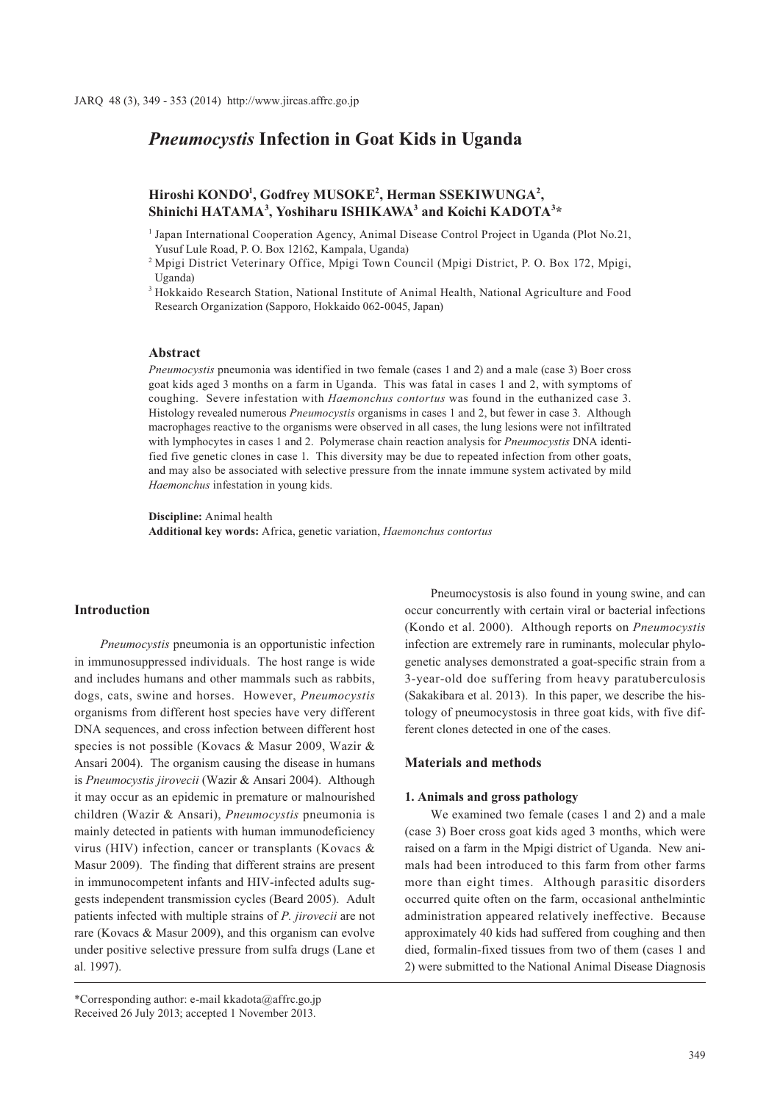# *Pneumocystis* **Infection in Goat Kids in Uganda**

# **Hiroshi KONDO1 , Godfrey MUSOKE2 , Herman SSEKIWUNGA2 , Shinichi HATAMA3 , Yoshiharu ISHIKAWA3 and Koichi KADOTA3 \***

<sup>1</sup> Japan International Cooperation Agency, Animal Disease Control Project in Uganda (Plot No.21, Yusuf Lule Road, P. O. Box 12162, Kampala, Uganda)

2 Mpigi District Veterinary Office, Mpigi Town Council (Mpigi District, P. O. Box 172, Mpigi, Uganda)

<sup>3</sup> Hokkaido Research Station, National Institute of Animal Health, National Agriculture and Food Research Organization (Sapporo, Hokkaido 062-0045, Japan)

# **Abstract**

*Pneumocystis* pneumonia was identified in two female (cases 1 and 2) and a male (case 3) Boer cross goat kids aged 3 months on a farm in Uganda. This was fatal in cases 1 and 2, with symptoms of coughing. Severe infestation with *Haemonchus contortus* was found in the euthanized case 3. Histology revealed numerous *Pneumocystis* organisms in cases 1 and 2, but fewer in case 3. Although macrophages reactive to the organisms were observed in all cases, the lung lesions were not infiltrated with lymphocytes in cases 1 and 2. Polymerase chain reaction analysis for *Pneumocystis* DNA identified five genetic clones in case 1. This diversity may be due to repeated infection from other goats, and may also be associated with selective pressure from the innate immune system activated by mild *Haemonchus* infestation in young kids.

**Discipline:** Animal health **Additional key words:** Africa, genetic variation, *Haemonchus contortus*

### **Introduction**

*Pneumocystis* pneumonia is an opportunistic infection in immunosuppressed individuals. The host range is wide and includes humans and other mammals such as rabbits, dogs, cats, swine and horses. However, *Pneumocystis* organisms from different host species have very different DNA sequences, and cross infection between different host species is not possible (Kovacs & Masur 2009, Wazir & Ansari 2004). The organism causing the disease in humans is *Pneumocystis jirovecii* (Wazir & Ansari 2004). Although it may occur as an epidemic in premature or malnourished children (Wazir & Ansari), *Pneumocystis* pneumonia is mainly detected in patients with human immunodeficiency virus (HIV) infection, cancer or transplants (Kovacs & Masur 2009). The finding that different strains are present in immunocompetent infants and HIV-infected adults suggests independent transmission cycles (Beard 2005). Adult patients infected with multiple strains of *P. jirovecii* are not rare (Kovacs & Masur 2009), and this organism can evolve under positive selective pressure from sulfa drugs (Lane et al. 1997).

Pneumocystosis is also found in young swine, and can occur concurrently with certain viral or bacterial infections (Kondo et al. 2000). Although reports on *Pneumocystis* infection are extremely rare in ruminants, molecular phylogenetic analyses demonstrated a goat-specific strain from a 3-year-old doe suffering from heavy paratuberculosis (Sakakibara et al. 2013). In this paper, we describe the histology of pneumocystosis in three goat kids, with five different clones detected in one of the cases.

### **Materials and methods**

#### **1. Animals and gross pathology**

We examined two female (cases 1 and 2) and a male (case 3) Boer cross goat kids aged 3 months, which were raised on a farm in the Mpigi district of Uganda. New animals had been introduced to this farm from other farms more than eight times. Although parasitic disorders occurred quite often on the farm, occasional anthelmintic administration appeared relatively ineffective. Because approximately 40 kids had suffered from coughing and then died, formalin-fixed tissues from two of them (cases 1 and 2) were submitted to the National Animal Disease Diagnosis

<sup>\*</sup>Corresponding author: e-mail kkadota@affrc.go.jp Received 26 July 2013; accepted 1 November 2013.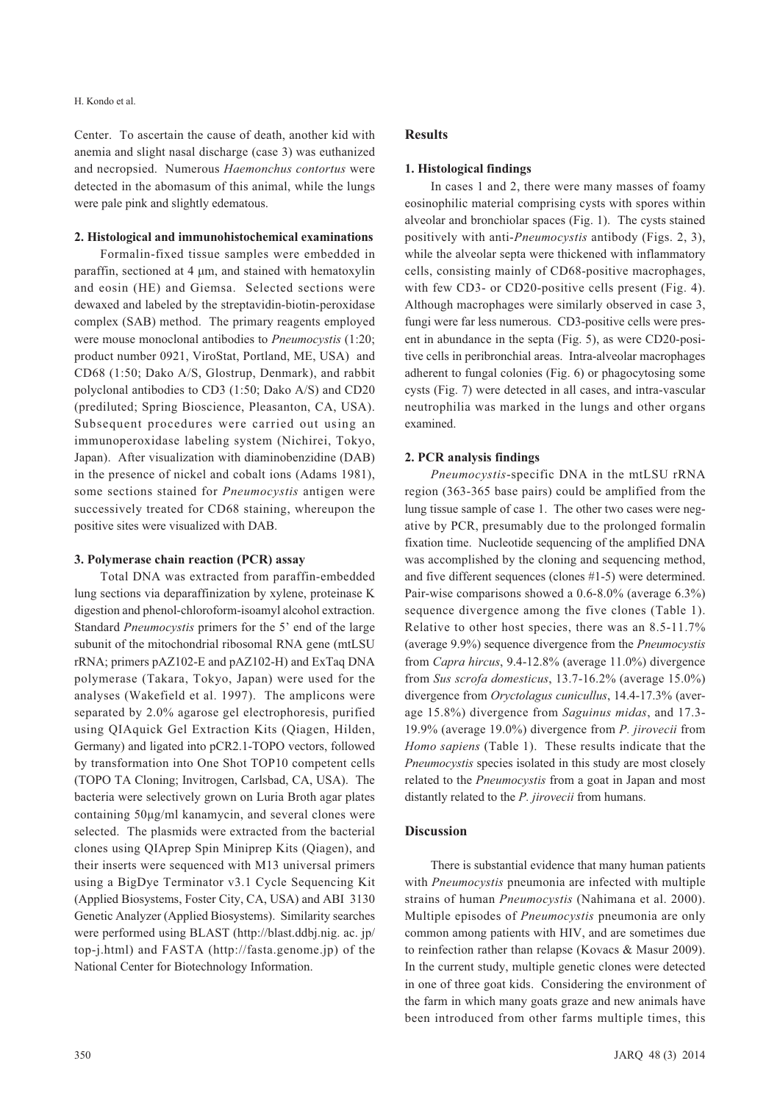#### H. Kondo et al.

Center. To ascertain the cause of death, another kid with anemia and slight nasal discharge (case 3) was euthanized and necropsied. Numerous *Haemonchus contortus* were detected in the abomasum of this animal, while the lungs were pale pink and slightly edematous.

### **2. Histological and immunohistochemical examinations**

Formalin-fixed tissue samples were embedded in paraffin, sectioned at 4 μm, and stained with hematoxylin and eosin (HE) and Giemsa. Selected sections were dewaxed and labeled by the streptavidin-biotin-peroxidase complex (SAB) method. The primary reagents employed were mouse monoclonal antibodies to *Pneumocystis* (1:20; product number 0921, ViroStat, Portland, ME, USA) and CD68 (1:50; Dako A/S, Glostrup, Denmark), and rabbit polyclonal antibodies to CD3 (1:50; Dako A/S) and CD20 (prediluted; Spring Bioscience, Pleasanton, CA, USA). Subsequent procedures were carried out using an immunoperoxidase labeling system (Nichirei, Tokyo, Japan). After visualization with diaminobenzidine (DAB) in the presence of nickel and cobalt ions (Adams 1981), some sections stained for *Pneumocystis* antigen were successively treated for CD68 staining, whereupon the positive sites were visualized with DAB.

### **3. Polymerase chain reaction (PCR) assay**

Total DNA was extracted from paraffin-embedded lung sections via deparaffinization by xylene, proteinase K digestion and phenol-chloroform-isoamyl alcohol extraction. Standard *Pneumocystis* primers for the 5' end of the large subunit of the mitochondrial ribosomal RNA gene (mtLSU rRNA; primers pAZ102-E and pAZ102-H) and ExTaq DNA polymerase (Takara, Tokyo, Japan) were used for the analyses (Wakefield et al. 1997). The amplicons were separated by 2.0% agarose gel electrophoresis, purified using QIAquick Gel Extraction Kits (Qiagen, Hilden, Germany) and ligated into pCR2.1-TOPO vectors, followed by transformation into One Shot TOP10 competent cells (TOPO TA Cloning; Invitrogen, Carlsbad, CA, USA). The bacteria were selectively grown on Luria Broth agar plates containing 50μg/ml kanamycin, and several clones were selected. The plasmids were extracted from the bacterial clones using QIAprep Spin Miniprep Kits (Qiagen), and their inserts were sequenced with M13 universal primers using a BigDye Terminator v3.1 Cycle Sequencing Kit (Applied Biosystems, Foster City, CA, USA) and ABI 3130 Genetic Analyzer (Applied Biosystems). Similarity searches were performed using BLAST (http://blast.ddbj.nig. ac. jp/ top-j.html) and FASTA (http://fasta.genome.jp) of the National Center for Biotechnology Information.

# **Results**

### **1. Histological findings**

In cases 1 and 2, there were many masses of foamy eosinophilic material comprising cysts with spores within alveolar and bronchiolar spaces (Fig. 1). The cysts stained positively with anti-*Pneumocystis* antibody (Figs. 2, 3), while the alveolar septa were thickened with inflammatory cells, consisting mainly of CD68-positive macrophages, with few CD3- or CD20-positive cells present (Fig. 4). Although macrophages were similarly observed in case 3, fungi were far less numerous. CD3-positive cells were present in abundance in the septa (Fig. 5), as were CD20-positive cells in peribronchial areas. Intra-alveolar macrophages adherent to fungal colonies (Fig. 6) or phagocytosing some cysts (Fig. 7) were detected in all cases, and intra-vascular neutrophilia was marked in the lungs and other organs examined.

# **2. PCR analysis findings**

*Pneumocystis*-specific DNA in the mtLSU rRNA region (363-365 base pairs) could be amplified from the lung tissue sample of case 1. The other two cases were negative by PCR, presumably due to the prolonged formalin fixation time. Nucleotide sequencing of the amplified DNA was accomplished by the cloning and sequencing method, and five different sequences (clones #1-5) were determined. Pair-wise comparisons showed a 0.6-8.0% (average 6.3%) sequence divergence among the five clones (Table 1). Relative to other host species, there was an 8.5-11.7% (average 9.9%) sequence divergence from the *Pneumocystis* from *Capra hircus*, 9.4-12.8% (average 11.0%) divergence from *Sus scrofa domesticus*, 13.7-16.2% (average 15.0%) divergence from *Oryctolagus cunicullus*, 14.4-17.3% (average 15.8%) divergence from *Saguinus midas*, and 17.3- 19.9% (average 19.0%) divergence from *P. jirovecii* from *Homo sapiens* (Table 1). These results indicate that the *Pneumocystis* species isolated in this study are most closely related to the *Pneumocystis* from a goat in Japan and most distantly related to the *P. jirovecii* from humans.

# **Discussion**

There is substantial evidence that many human patients with *Pneumocystis* pneumonia are infected with multiple strains of human *Pneumocystis* (Nahimana et al. 2000). Multiple episodes of *Pneumocystis* pneumonia are only common among patients with HIV, and are sometimes due to reinfection rather than relapse (Kovacs & Masur 2009). In the current study, multiple genetic clones were detected in one of three goat kids. Considering the environment of the farm in which many goats graze and new animals have been introduced from other farms multiple times, this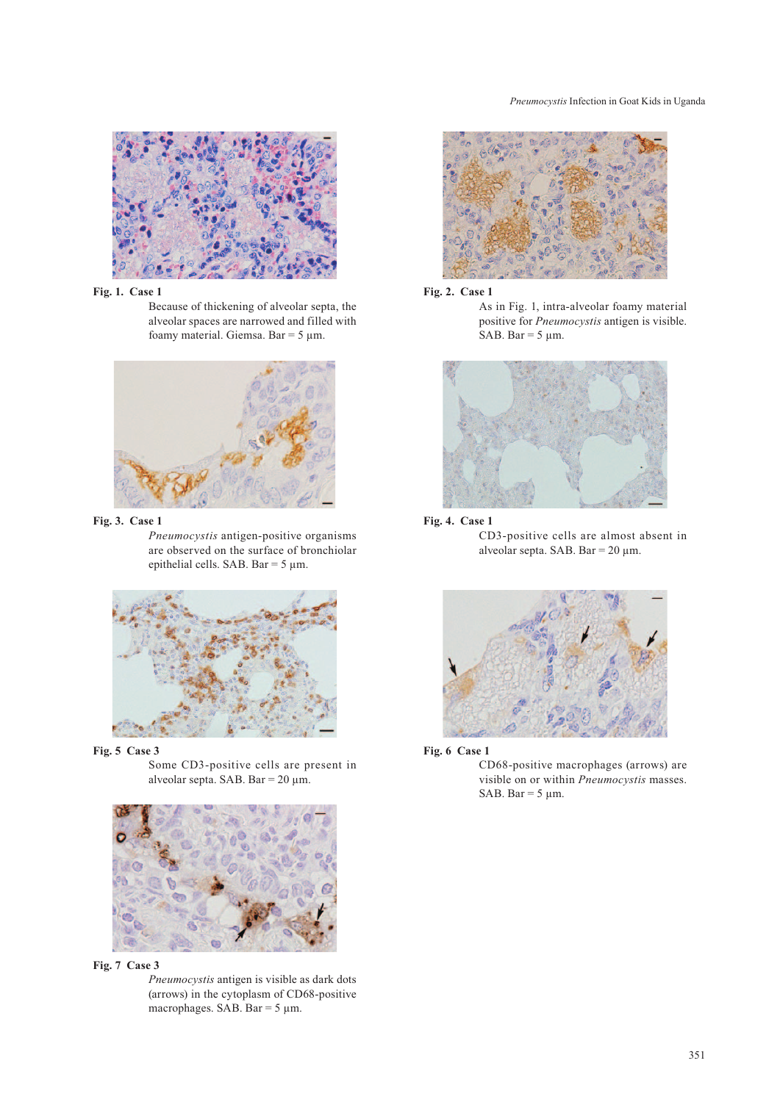#### *Pneumocystis* Infection in Goat Kids in Uganda



### **Fig. 1. Case 1**

Because of thickening of alveolar septa, the alveolar spaces are narrowed and filled with foamy material. Giemsa. Bar = 5 μm.



### **Fig. 3. Case 1**

*Pneumocystis* antigen-positive organisms are observed on the surface of bronchiolar epithelial cells. SAB. Bar =  $5 \mu m$ .



**Fig. 5 Case 3**

Some CD3-positive cells are present in alveolar septa. SAB. Bar =  $20 \mu m$ .



**Fig. 7 Case 3**

*Pneumocystis* antigen is visible as dark dots (arrows) in the cytoplasm of CD68-positive macrophages. SAB. Bar = 5 μm.



### **Fig. 2. Case 1**

As in Fig. 1, intra-alveolar foamy material positive for *Pneumocystis* antigen is visible. SAB. Bar =  $5 \mu m$ .



### **Fig. 4. Case 1**

CD3-positive cells are almost absent in alveolar septa. SAB. Bar = 20 μm.





CD68-positive macrophages (arrows) are visible on or within *Pneumocystis* masses. SAB. Bar =  $5 \mu m$ .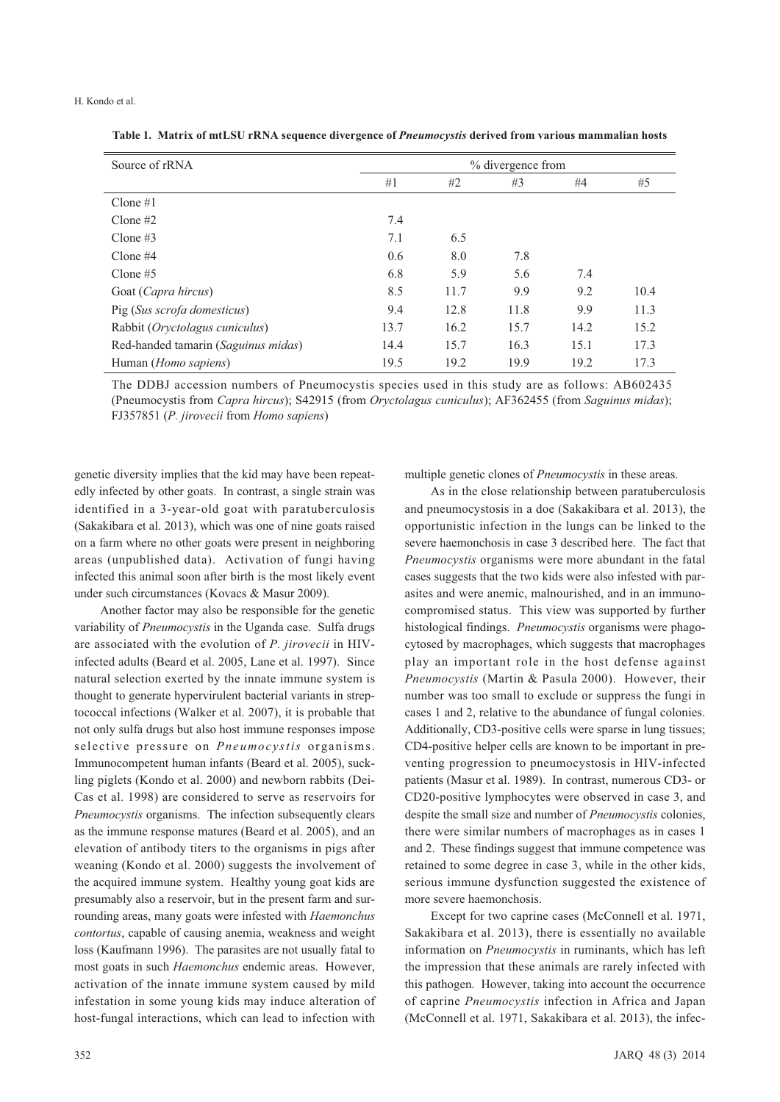#### H. Kondo et al.

| Source of rRNA                      | % divergence from |      |      |      |      |
|-------------------------------------|-------------------|------|------|------|------|
|                                     | #1                | #2   | #3   | #4   | #5   |
| $C$ lone #1                         |                   |      |      |      |      |
| Clone $#2$                          | 7.4               |      |      |      |      |
| Clone $#3$                          | 7.1               | 6.5  |      |      |      |
| Clone $#4$                          | 0.6               | 8.0  | 7.8  |      |      |
| Clone $#5$                          | 6.8               | 5.9  | 5.6  | 7.4  |      |
| Goat ( <i>Capra hircus</i> )        | 8.5               | 11.7 | 9.9  | 9.2  | 10.4 |
| Pig (Sus scrofa domesticus)         | 9.4               | 12.8 | 11.8 | 9.9  | 11.3 |
| Rabbit (Oryctolagus cuniculus)      | 13.7              | 16.2 | 15.7 | 14.2 | 15.2 |
| Red-handed tamarin (Saguinus midas) | 14.4              | 15.7 | 16.3 | 15.1 | 17.3 |
| Human ( <i>Homo sapiens</i> )       | 19.5              | 19.2 | 19.9 | 19.2 | 17.3 |

**Table 1. Matrix of mtLSU rRNA sequence divergence of** *Pneumocystis* **derived from various mammalian hosts** 

The DDBJ accession numbers of Pneumocystis species used in this study are as follows: AB602435 (Pneumocystis from *Capra hircus*); S42915 (from *Oryctolagus cuniculus*); AF362455 (from *Saguinus midas*); FJ357851 (*P. jirovecii* from *Homo sapiens*)

genetic diversity implies that the kid may have been repeatedly infected by other goats. In contrast, a single strain was identified in a 3-year-old goat with paratuberculosis (Sakakibara et al. 2013), which was one of nine goats raised on a farm where no other goats were present in neighboring areas (unpublished data). Activation of fungi having infected this animal soon after birth is the most likely event under such circumstances (Kovacs & Masur 2009).

Another factor may also be responsible for the genetic variability of *Pneumocystis* in the Uganda case. Sulfa drugs are associated with the evolution of *P. jirovecii* in HIVinfected adults (Beard et al. 2005, Lane et al. 1997). Since natural selection exerted by the innate immune system is thought to generate hypervirulent bacterial variants in streptococcal infections (Walker et al. 2007), it is probable that not only sulfa drugs but also host immune responses impose selective pressure on *Pneumocystis* organisms. Immunocompetent human infants (Beard et al. 2005), suckling piglets (Kondo et al. 2000) and newborn rabbits (Dei-Cas et al. 1998) are considered to serve as reservoirs for *Pneumocystis* organisms. The infection subsequently clears as the immune response matures (Beard et al. 2005), and an elevation of antibody titers to the organisms in pigs after weaning (Kondo et al. 2000) suggests the involvement of the acquired immune system. Healthy young goat kids are presumably also a reservoir, but in the present farm and surrounding areas, many goats were infested with *Haemonchus contortus*, capable of causing anemia, weakness and weight loss (Kaufmann 1996). The parasites are not usually fatal to most goats in such *Haemonchus* endemic areas. However, activation of the innate immune system caused by mild infestation in some young kids may induce alteration of host-fungal interactions, which can lead to infection with

multiple genetic clones of *Pneumocystis* in these areas.

As in the close relationship between paratuberculosis and pneumocystosis in a doe (Sakakibara et al. 2013), the opportunistic infection in the lungs can be linked to the severe haemonchosis in case 3 described here. The fact that *Pneumocystis* organisms were more abundant in the fatal cases suggests that the two kids were also infested with parasites and were anemic, malnourished, and in an immunocompromised status. This view was supported by further histological findings. *Pneumocystis* organisms were phagocytosed by macrophages, which suggests that macrophages play an important role in the host defense against *Pneumocystis* (Martin & Pasula 2000). However, their number was too small to exclude or suppress the fungi in cases 1 and 2, relative to the abundance of fungal colonies. Additionally, CD3-positive cells were sparse in lung tissues; CD4-positive helper cells are known to be important in preventing progression to pneumocystosis in HIV-infected patients (Masur et al. 1989). In contrast, numerous CD3- or CD20-positive lymphocytes were observed in case 3, and despite the small size and number of *Pneumocystis* colonies, there were similar numbers of macrophages as in cases 1 and 2. These findings suggest that immune competence was retained to some degree in case 3, while in the other kids, serious immune dysfunction suggested the existence of more severe haemonchosis.

Except for two caprine cases (McConnell et al. 1971, Sakakibara et al. 2013), there is essentially no available information on *Pneumocystis* in ruminants, which has left the impression that these animals are rarely infected with this pathogen. However, taking into account the occurrence of caprine *Pneumocystis* infection in Africa and Japan (McConnell et al. 1971, Sakakibara et al. 2013), the infec-